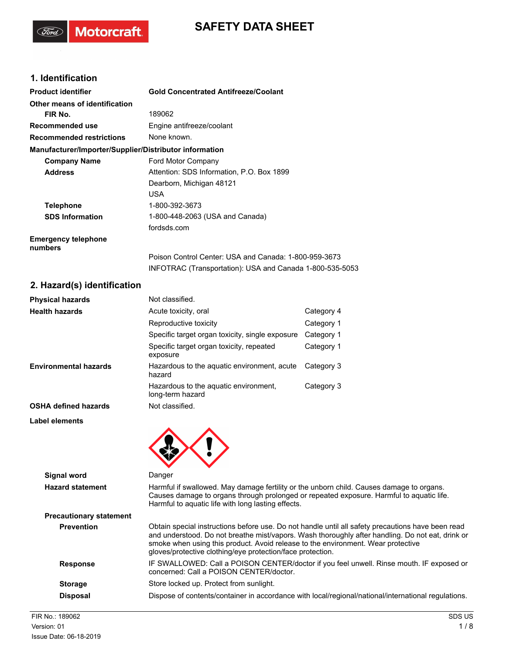# **SAFETY DATA SHEET**

# **1. Identification**

"Gord"

**Motorcraft** 

| <b>Product identifier</b>                              | <b>Gold Concentrated Antifreeze/Coolant</b>              |
|--------------------------------------------------------|----------------------------------------------------------|
| Other means of identification                          |                                                          |
| FIR No.                                                | 189062                                                   |
| Recommended use                                        | Engine antifreeze/coolant                                |
| <b>Recommended restrictions</b>                        | None known.                                              |
| Manufacturer/Importer/Supplier/Distributor information |                                                          |
| <b>Company Name</b>                                    | Ford Motor Company                                       |
| <b>Address</b>                                         | Attention: SDS Information, P.O. Box 1899                |
|                                                        | Dearborn, Michigan 48121                                 |
|                                                        | <b>USA</b>                                               |
| <b>Telephone</b>                                       | 1-800-392-3673                                           |
| <b>SDS Information</b>                                 | 1-800-448-2063 (USA and Canada)                          |
|                                                        | fordsds.com                                              |
| <b>Emergency telephone</b><br>numbers                  |                                                          |
|                                                        | Poison Control Center: USA and Canada: 1-800-959-3673    |
|                                                        | INFOTRAC (Transportation): USA and Canada 1-800-535-5053 |

# **2. Hazard(s) identification**

| <b>Physical hazards</b>        | Not classified.                                                                                                                                                                                                                                                                                                                                         |                                                                                           |
|--------------------------------|---------------------------------------------------------------------------------------------------------------------------------------------------------------------------------------------------------------------------------------------------------------------------------------------------------------------------------------------------------|-------------------------------------------------------------------------------------------|
| <b>Health hazards</b>          | Acute toxicity, oral                                                                                                                                                                                                                                                                                                                                    | Category 4                                                                                |
|                                | Reproductive toxicity                                                                                                                                                                                                                                                                                                                                   | Category 1                                                                                |
|                                | Specific target organ toxicity, single exposure                                                                                                                                                                                                                                                                                                         | Category 1                                                                                |
|                                | Specific target organ toxicity, repeated<br>exposure                                                                                                                                                                                                                                                                                                    | Category 1                                                                                |
| <b>Environmental hazards</b>   | Hazardous to the aquatic environment, acute<br>hazard                                                                                                                                                                                                                                                                                                   | Category 3                                                                                |
|                                | Hazardous to the aquatic environment,<br>long-term hazard                                                                                                                                                                                                                                                                                               | Category 3                                                                                |
| <b>OSHA defined hazards</b>    | Not classified.                                                                                                                                                                                                                                                                                                                                         |                                                                                           |
| <b>Label elements</b>          |                                                                                                                                                                                                                                                                                                                                                         |                                                                                           |
|                                |                                                                                                                                                                                                                                                                                                                                                         |                                                                                           |
| Signal word                    | Danger                                                                                                                                                                                                                                                                                                                                                  |                                                                                           |
| <b>Hazard statement</b>        | Harmful if swallowed. May damage fertility or the unborn child. Causes damage to organs.<br>Causes damage to organs through prolonged or repeated exposure. Harmful to aquatic life.<br>Harmful to aquatic life with long lasting effects.                                                                                                              |                                                                                           |
| <b>Precautionary statement</b> |                                                                                                                                                                                                                                                                                                                                                         |                                                                                           |
| <b>Prevention</b>              | Obtain special instructions before use. Do not handle until all safety precautions have been read<br>and understood. Do not breathe mist/vapors. Wash thoroughly after handling. Do not eat, drink or<br>smoke when using this product. Avoid release to the environment. Wear protective<br>gloves/protective clothing/eye protection/face protection. |                                                                                           |
| <b>Doononoo</b>                |                                                                                                                                                                                                                                                                                                                                                         | IE SWALLOWED: Call a DOISON CENTED/doctor if you fool unwall. Dinso mouth, IE expessed or |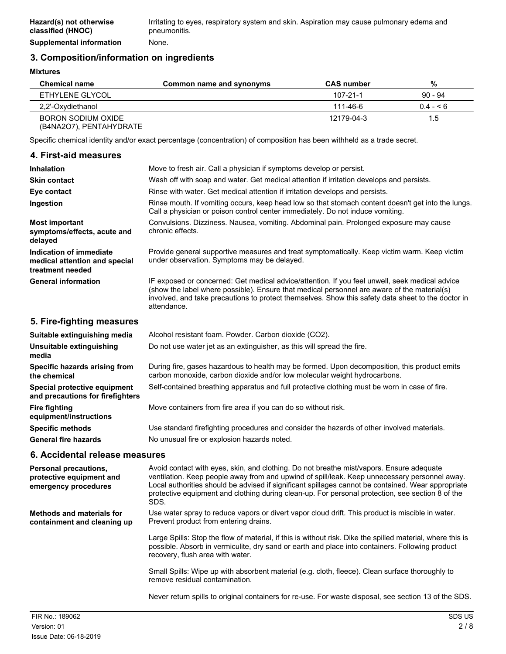# **3. Composition/information on ingredients**

**Mixtures**

| <b>Chemical name</b>                          | Common name and synonyms | <b>CAS number</b> | %             |
|-----------------------------------------------|--------------------------|-------------------|---------------|
| ETHYLENE GLYCOL                               |                          | $107 - 21 - 1$    | $90 - 94$     |
| 2,2'-Oxydiethanol                             |                          | 111-46-6          | $0.4 - 5.6$   |
| BORON SODIUM OXIDE<br>(B4NA2O7), PENTAHYDRATE |                          | 12179-04-3        | $1.5^{\circ}$ |

Specific chemical identity and/or exact percentage (concentration) of composition has been withheld as a trade secret.

### **4. First-aid measures**

| <b>Inhalation</b>                                                            | Move to fresh air. Call a physician if symptoms develop or persist.                                                                                                                                                                                                                                                |  |
|------------------------------------------------------------------------------|--------------------------------------------------------------------------------------------------------------------------------------------------------------------------------------------------------------------------------------------------------------------------------------------------------------------|--|
| <b>Skin contact</b>                                                          | Wash off with soap and water. Get medical attention if irritation develops and persists.                                                                                                                                                                                                                           |  |
| Eye contact                                                                  | Rinse with water. Get medical attention if irritation develops and persists.                                                                                                                                                                                                                                       |  |
| Ingestion                                                                    | Rinse mouth. If vomiting occurs, keep head low so that stomach content doesn't get into the lungs.<br>Call a physician or poison control center immediately. Do not induce vomiting.                                                                                                                               |  |
| <b>Most important</b><br>symptoms/effects, acute and<br>delayed              | Convulsions. Dizziness. Nausea, vomiting. Abdominal pain. Prolonged exposure may cause<br>chronic effects.                                                                                                                                                                                                         |  |
| Indication of immediate<br>medical attention and special<br>treatment needed | Provide general supportive measures and treat symptomatically. Keep victim warm. Keep victim<br>under observation. Symptoms may be delayed.                                                                                                                                                                        |  |
| <b>General information</b>                                                   | IF exposed or concerned: Get medical advice/attention. If you feel unwell, seek medical advice<br>(show the label where possible). Ensure that medical personnel are aware of the material(s)<br>involved, and take precautions to protect themselves. Show this safety data sheet to the doctor in<br>attendance. |  |

### **5. Fire-fighting measures**

| Suitable extinguishing media                                     | Alcohol resistant foam. Powder. Carbon dioxide (CO2).                                                                                                                     |
|------------------------------------------------------------------|---------------------------------------------------------------------------------------------------------------------------------------------------------------------------|
| Unsuitable extinguishing<br>media                                | Do not use water jet as an extinguisher, as this will spread the fire.                                                                                                    |
| Specific hazards arising from<br>the chemical                    | During fire, gases hazardous to health may be formed. Upon decomposition, this product emits<br>carbon monoxide, carbon dioxide and/or low molecular weight hydrocarbons. |
| Special protective equipment<br>and precautions for firefighters | Self-contained breathing apparatus and full protective clothing must be worn in case of fire.                                                                             |
| <b>Fire fighting</b><br>equipment/instructions                   | Move containers from fire area if you can do so without risk.                                                                                                             |
| <b>Specific methods</b>                                          | Use standard firefighting procedures and consider the hazards of other involved materials.                                                                                |
| <b>General fire hazards</b>                                      | No unusual fire or explosion hazards noted.                                                                                                                               |

## **6. Accidental release measures**

| Personal precautions,<br>protective equipment and<br>emergency procedures | Avoid contact with eyes, skin, and clothing. Do not breathe mist/vapors. Ensure adequate<br>ventilation. Keep people away from and upwind of spill/leak. Keep unnecessary personnel away.<br>Local authorities should be advised if significant spillages cannot be contained. Wear appropriate<br>protective equipment and clothing during clean-up. For personal protection, see section 8 of the<br>SDS. |
|---------------------------------------------------------------------------|-------------------------------------------------------------------------------------------------------------------------------------------------------------------------------------------------------------------------------------------------------------------------------------------------------------------------------------------------------------------------------------------------------------|
| <b>Methods and materials for</b><br>containment and cleaning up           | Use water spray to reduce vapors or divert vapor cloud drift. This product is miscible in water.<br>Prevent product from entering drains.                                                                                                                                                                                                                                                                   |
|                                                                           | Large Spills: Stop the flow of material, if this is without risk. Dike the spilled material, where this is<br>possible. Absorb in vermiculite, dry sand or earth and place into containers. Following product<br>recovery, flush area with water.                                                                                                                                                           |
|                                                                           | Small Spills: Wipe up with absorbent material (e.g. cloth, fleece). Clean surface thoroughly to<br>remove residual contamination.                                                                                                                                                                                                                                                                           |
|                                                                           | Never return spills to original containers for re-use. For waste disposal, see section 13 of the SDS.                                                                                                                                                                                                                                                                                                       |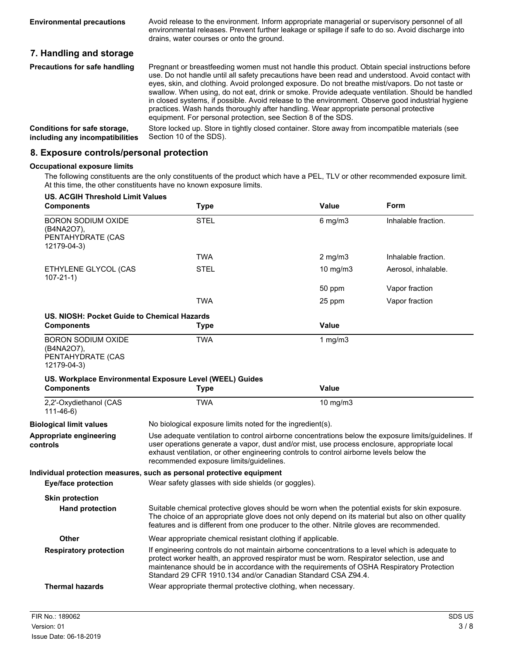Avoid release to the environment. Inform appropriate managerial or supervisory personnel of all environmental releases. Prevent further leakage or spillage if safe to do so. Avoid discharge into drains, water courses or onto the ground. **Environmental precautions 7. Handling and storage** Pregnant or breastfeeding women must not handle this product. Obtain special instructions before

| <b>Precautions for safe handling</b> | Pregnant or breastfeeding women must not handle this product. Obtain special instructions before<br>use. Do not handle until all safety precautions have been read and understood. Avoid contact with<br>eyes, skin, and clothing. Avoid prolonged exposure. Do not breathe mist/vapors. Do not taste or<br>swallow. When using, do not eat, drink or smoke. Provide adequate ventilation. Should be handled<br>in closed systems, if possible. Avoid release to the environment. Observe good industrial hygiene<br>practices. Wash hands thoroughly after handling. Wear appropriate personal protective<br>equipment. For personal protection, see Section 8 of the SDS. |
|--------------------------------------|-----------------------------------------------------------------------------------------------------------------------------------------------------------------------------------------------------------------------------------------------------------------------------------------------------------------------------------------------------------------------------------------------------------------------------------------------------------------------------------------------------------------------------------------------------------------------------------------------------------------------------------------------------------------------------|
| Conditions for safe storage,         | Store locked up. Store in tightly closed container. Store away from incompatible materials (see                                                                                                                                                                                                                                                                                                                                                                                                                                                                                                                                                                             |
| including any incompatibilities      | Section 10 of the SDS).                                                                                                                                                                                                                                                                                                                                                                                                                                                                                                                                                                                                                                                     |

### **8. Exposure controls/personal protection**

#### **Occupational exposure limits**

The following constituents are the only constituents of the product which have a PEL, TLV or other recommended exposure limit. At this time, the other constituents have no known exposure limits.

| <b>US. ACGIH Threshold Limit Values</b><br><b>Components</b>                | <b>Type</b>                                                                                                                                                                                                                                                                                                                                              | <b>Value</b>     | Form                |
|-----------------------------------------------------------------------------|----------------------------------------------------------------------------------------------------------------------------------------------------------------------------------------------------------------------------------------------------------------------------------------------------------------------------------------------------------|------------------|---------------------|
| <b>BORON SODIUM OXIDE</b><br>(B4NA2O7),<br>PENTAHYDRATE (CAS<br>12179-04-3) | <b>STEL</b>                                                                                                                                                                                                                                                                                                                                              | $6$ mg/m $3$     | Inhalable fraction. |
|                                                                             | <b>TWA</b>                                                                                                                                                                                                                                                                                                                                               | $2 \text{ mg/m}$ | Inhalable fraction. |
| ETHYLENE GLYCOL (CAS<br>$107 - 21 - 1$                                      | <b>STEL</b>                                                                                                                                                                                                                                                                                                                                              | 10 mg/m3         | Aerosol, inhalable. |
|                                                                             |                                                                                                                                                                                                                                                                                                                                                          | 50 ppm           | Vapor fraction      |
|                                                                             | <b>TWA</b>                                                                                                                                                                                                                                                                                                                                               | 25 ppm           | Vapor fraction      |
| US. NIOSH: Pocket Guide to Chemical Hazards                                 |                                                                                                                                                                                                                                                                                                                                                          |                  |                     |
| <b>Components</b>                                                           | <b>Type</b>                                                                                                                                                                                                                                                                                                                                              | Value            |                     |
| <b>BORON SODIUM OXIDE</b><br>(B4NA2O7),<br>PENTAHYDRATE (CAS<br>12179-04-3) | <b>TWA</b>                                                                                                                                                                                                                                                                                                                                               | 1 $mg/m3$        |                     |
|                                                                             | US. Workplace Environmental Exposure Level (WEEL) Guides                                                                                                                                                                                                                                                                                                 |                  |                     |
| <b>Components</b>                                                           | <b>Type</b>                                                                                                                                                                                                                                                                                                                                              | <b>Value</b>     |                     |
| 2,2'-Oxydiethanol (CAS<br>$111 - 46 - 6$                                    | <b>TWA</b>                                                                                                                                                                                                                                                                                                                                               | 10 mg/m $3$      |                     |
| <b>Biological limit values</b>                                              | No biological exposure limits noted for the ingredient(s).                                                                                                                                                                                                                                                                                               |                  |                     |
| Appropriate engineering<br>controls                                         | Use adequate ventilation to control airborne concentrations below the exposure limits/guidelines. If<br>user operations generate a vapor, dust and/or mist, use process enclosure, appropriate local<br>exhaust ventilation, or other engineering controls to control airborne levels below the<br>recommended exposure limits/guidelines.               |                  |                     |
|                                                                             | Individual protection measures, such as personal protective equipment                                                                                                                                                                                                                                                                                    |                  |                     |
| <b>Eye/face protection</b>                                                  | Wear safety glasses with side shields (or goggles).                                                                                                                                                                                                                                                                                                      |                  |                     |
| <b>Skin protection</b><br><b>Hand protection</b>                            | Suitable chemical protective gloves should be worn when the potential exists for skin exposure.<br>The choice of an appropriate glove does not only depend on its material but also on other quality<br>features and is different from one producer to the other. Nitrile gloves are recommended.                                                        |                  |                     |
| Other                                                                       | Wear appropriate chemical resistant clothing if applicable.                                                                                                                                                                                                                                                                                              |                  |                     |
| <b>Respiratory protection</b>                                               | If engineering controls do not maintain airborne concentrations to a level which is adequate to<br>protect worker health, an approved respirator must be worn. Respirator selection, use and<br>maintenance should be in accordance with the requirements of OSHA Respiratory Protection<br>Standard 29 CFR 1910.134 and/or Canadian Standard CSA Z94.4. |                  |                     |
|                                                                             |                                                                                                                                                                                                                                                                                                                                                          |                  |                     |

**controls**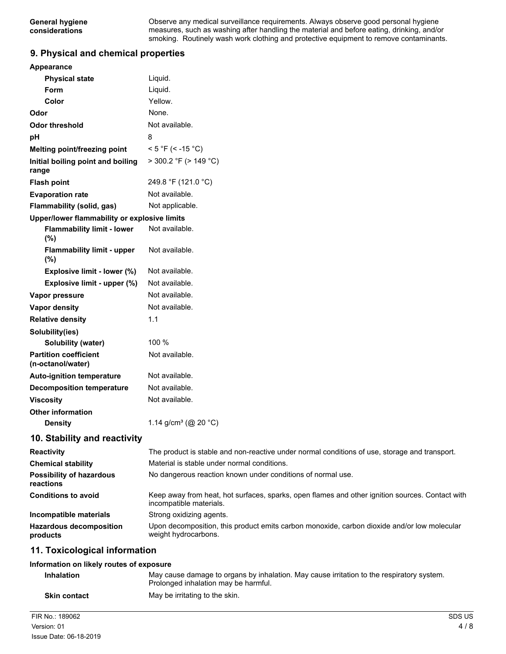Observe any medical surveillance requirements. Always observe good personal hygiene measures, such as washing after handling the material and before eating, drinking, and/or smoking. Routinely wash work clothing and protective equipment to remove contaminants.

### **9. Physical and chemical properties**

| Appearance                                        |                                                                                                                            |
|---------------------------------------------------|----------------------------------------------------------------------------------------------------------------------------|
| <b>Physical state</b>                             | Liquid.                                                                                                                    |
| Form                                              | Liquid.                                                                                                                    |
| Color                                             | Yellow.                                                                                                                    |
| Odor                                              | None.                                                                                                                      |
| <b>Odor threshold</b>                             | Not available.                                                                                                             |
| рH                                                | 8                                                                                                                          |
| Melting point/freezing point                      | $< 5 °F$ (< -15 °C)                                                                                                        |
| Initial boiling point and boiling<br>range        | $>$ 300.2 °F ( $>$ 149 °C)                                                                                                 |
| <b>Flash point</b>                                | 249.8 °F (121.0 °C)                                                                                                        |
| <b>Evaporation rate</b>                           | Not available.                                                                                                             |
| Flammability (solid, gas)                         | Not applicable.                                                                                                            |
| Upper/lower flammability or explosive limits      |                                                                                                                            |
| <b>Flammability limit - lower</b><br>$(\%)$       | Not available.                                                                                                             |
| <b>Flammability limit - upper</b><br>$(\%)$       | Not available.                                                                                                             |
| Explosive limit - lower (%)                       | Not available.                                                                                                             |
| Explosive limit - upper (%)                       | Not available.                                                                                                             |
| Vapor pressure                                    | Not available.                                                                                                             |
| Vapor density                                     | Not available.                                                                                                             |
| <b>Relative density</b>                           | 1.1                                                                                                                        |
| Solubility(ies)                                   |                                                                                                                            |
| Solubility (water)                                | 100 %                                                                                                                      |
| <b>Partition coefficient</b><br>(n-octanol/water) | Not available.                                                                                                             |
| <b>Auto-ignition temperature</b>                  | Not available.                                                                                                             |
| <b>Decomposition temperature</b>                  | Not available.                                                                                                             |
| <b>Viscosity</b>                                  | Not available.                                                                                                             |
| <b>Other information</b>                          |                                                                                                                            |
| <b>Density</b>                                    | 1.14 g/cm <sup>3</sup> (@ 20 °C)                                                                                           |
| 10. Stability and reactivity                      |                                                                                                                            |
| <b>Reactivity</b>                                 | The product is stable and non-reactive under normal conditions of use, storage and transport.                              |
| <b>Chemical stability</b>                         | Material is stable under normal conditions.                                                                                |
| <b>Possibility of hazardous</b><br>reactions      | No dangerous reaction known under conditions of normal use.                                                                |
| <b>Conditions to avoid</b>                        | Keep away from heat, hot surfaces, sparks, open flames and other ignition sources. Contact with<br>incompatible materials. |
| Incompatible materials                            | Strong oxidizing agents.                                                                                                   |
| <b>Hazardous decomposition</b><br>products        | Upon decomposition, this product emits carbon monoxide, carbon dioxide and/or low molecular<br>weight hydrocarbons.        |
| 11. Toxicological information                     |                                                                                                                            |
| Information on likely routes of exposure          |                                                                                                                            |
| Inhalation                                        | May cause damage to ergans by inhalation. May cause irritation to the respiratory system                                   |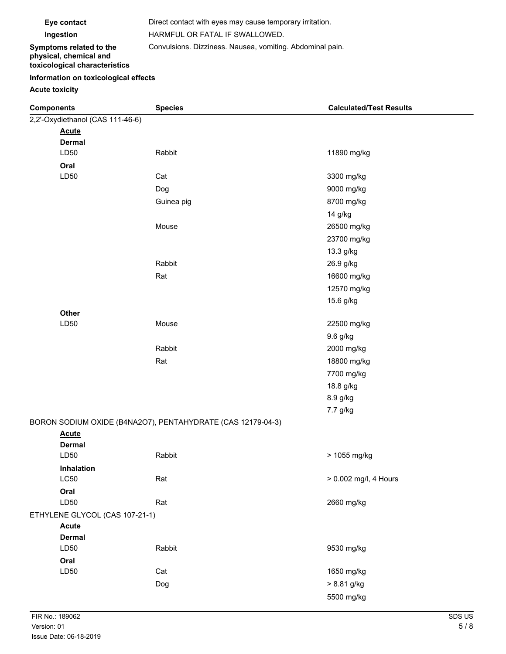**Eye contact** Direct contact with eyes may cause temporary irritation. **Ingestion** HARMFUL OR FATAL IF SWALLOWED. Convulsions. Dizziness. Nausea, vomiting. Abdominal pain.

#### **Symptoms related to the physical, chemical and toxicological characteristics**

## **Information on toxicological effects**

**Acute toxicity**

| <b>Components</b>                | <b>Species</b>                                              | <b>Calculated/Test Results</b> |
|----------------------------------|-------------------------------------------------------------|--------------------------------|
| 2,2'-Oxydiethanol (CAS 111-46-6) |                                                             |                                |
| <b>Acute</b>                     |                                                             |                                |
| <b>Dermal</b>                    |                                                             |                                |
| LD50                             | Rabbit                                                      | 11890 mg/kg                    |
| Oral                             |                                                             |                                |
| LD50                             | Cat                                                         | 3300 mg/kg                     |
|                                  | Dog                                                         | 9000 mg/kg                     |
|                                  | Guinea pig                                                  | 8700 mg/kg                     |
|                                  |                                                             | 14 g/kg                        |
|                                  | Mouse                                                       | 26500 mg/kg                    |
|                                  |                                                             | 23700 mg/kg                    |
|                                  |                                                             | 13.3 g/kg                      |
|                                  | Rabbit                                                      | 26.9 g/kg                      |
|                                  | Rat                                                         | 16600 mg/kg                    |
|                                  |                                                             | 12570 mg/kg                    |
|                                  |                                                             | 15.6 g/kg                      |
| Other                            |                                                             |                                |
| LD50                             | Mouse                                                       | 22500 mg/kg                    |
|                                  |                                                             | 9.6 g/kg                       |
|                                  | Rabbit                                                      | 2000 mg/kg                     |
|                                  | Rat                                                         | 18800 mg/kg                    |
|                                  |                                                             | 7700 mg/kg                     |
|                                  |                                                             | 18.8 g/kg                      |
|                                  |                                                             | 8.9 g/kg                       |
|                                  |                                                             | 7.7 g/kg                       |
|                                  | BORON SODIUM OXIDE (B4NA2O7), PENTAHYDRATE (CAS 12179-04-3) |                                |
| <b>Acute</b>                     |                                                             |                                |
| <b>Dermal</b>                    |                                                             |                                |
| LD50                             | Rabbit                                                      | > 1055 mg/kg                   |
| Inhalation                       |                                                             |                                |
| L <sub>C</sub> 50                | Rat                                                         | > 0.002 mg/l, 4 Hours          |
| Oral                             |                                                             |                                |
| LD50                             | Rat                                                         | 2660 mg/kg                     |
| ETHYLENE GLYCOL (CAS 107-21-1)   |                                                             |                                |
| <b>Acute</b><br><b>Dermal</b>    |                                                             |                                |
| LD50                             | Rabbit                                                      | 9530 mg/kg                     |
| Oral                             |                                                             |                                |
| LD50                             | Cat                                                         | 1650 mg/kg                     |
|                                  | Dog                                                         | > 8.81 g/kg                    |
|                                  |                                                             | 5500 mg/kg                     |
|                                  |                                                             |                                |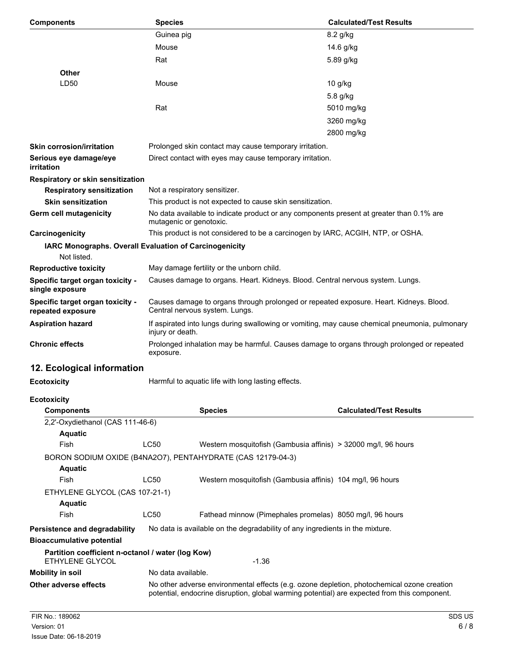| <b>Components</b>                                     | <b>Species</b>                                                                                                           | <b>Calculated/Test Results</b> |
|-------------------------------------------------------|--------------------------------------------------------------------------------------------------------------------------|--------------------------------|
|                                                       | Guinea pig                                                                                                               | 8.2 g/kg                       |
|                                                       | Mouse                                                                                                                    | 14.6 g/kg                      |
|                                                       | Rat                                                                                                                      | 5.89 g/kg                      |
| <b>Other</b>                                          |                                                                                                                          |                                |
| LD50                                                  | Mouse                                                                                                                    | 10 g/kg                        |
|                                                       |                                                                                                                          | 5.8 g/kg                       |
|                                                       | Rat                                                                                                                      | 5010 mg/kg                     |
|                                                       |                                                                                                                          | 3260 mg/kg                     |
|                                                       |                                                                                                                          | 2800 mg/kg                     |
| <b>Skin corrosion/irritation</b>                      | Prolonged skin contact may cause temporary irritation.                                                                   |                                |
| Serious eye damage/eye<br>irritation                  | Direct contact with eyes may cause temporary irritation.                                                                 |                                |
| Respiratory or skin sensitization                     |                                                                                                                          |                                |
| <b>Respiratory sensitization</b>                      | Not a respiratory sensitizer.                                                                                            |                                |
| <b>Skin sensitization</b>                             | This product is not expected to cause skin sensitization.                                                                |                                |
| Germ cell mutagenicity                                | No data available to indicate product or any components present at greater than 0.1% are<br>mutagenic or genotoxic.      |                                |
| Carcinogenicity                                       | This product is not considered to be a carcinogen by IARC, ACGIH, NTP, or OSHA.                                          |                                |
| Not listed.                                           | IARC Monographs. Overall Evaluation of Carcinogenicity                                                                   |                                |
| <b>Reproductive toxicity</b>                          | May damage fertility or the unborn child.                                                                                |                                |
| Specific target organ toxicity -<br>single exposure   | Causes damage to organs. Heart. Kidneys. Blood. Central nervous system. Lungs.                                           |                                |
| Specific target organ toxicity -<br>repeated exposure | Causes damage to organs through prolonged or repeated exposure. Heart. Kidneys. Blood.<br>Central nervous system. Lungs. |                                |
| <b>Aspiration hazard</b>                              | If aspirated into lungs during swallowing or vomiting, may cause chemical pneumonia, pulmonary<br>injury or death.       |                                |
| <b>Chronic effects</b>                                | Prolonged inhalation may be harmful. Causes damage to organs through prolonged or repeated<br>exposure.                  |                                |
| 12. Ecological information                            |                                                                                                                          |                                |
| <b>Ecotoxicity</b>                                    | Harmful to aquatic life with long lasting effects.                                                                       |                                |
| <b>Ecotoxicity</b>                                    |                                                                                                                          |                                |
| <b>Components</b>                                     | <b>Species</b>                                                                                                           | <b>Calculated/Test Results</b> |
| 2,2'-Oxydiethanol (CAS 111-46-6)                      |                                                                                                                          |                                |
| <b>Aquatic</b><br>Fish                                | LC50<br>Western mosquitofish (Gambusia affinis) > 32000 mg/l, 96 hours                                                   |                                |
|                                                       | BORON SODIUM OXIDE (B4NA2O7), PENTAHYDRATE (CAS 12179-04-3)                                                              |                                |
| <b>Aquatic</b>                                        |                                                                                                                          |                                |
| Fish                                                  | LC50<br>Western mosquitofish (Gambusia affinis) 104 mg/l, 96 hours                                                       |                                |
| ETHYLENE GLYCOL (CAS 107-21-1)                        |                                                                                                                          |                                |
| <b>Aquatic</b>                                        |                                                                                                                          |                                |
| Fish                                                  | LC50<br>Fathead minnow (Pimephales promelas) 8050 mg/l, 96 hours                                                         |                                |
| Persistence and degradability                         | No data is available on the degradability of any ingredients in the mixture.                                             |                                |
| <b>Bioaccumulative potential</b>                      |                                                                                                                          |                                |
| Partition coefficient n-octanol / water (log Kow)     |                                                                                                                          |                                |

ETHYLENE GLYCOL 41.36 **Mobility in soil** No data available. **Other adverse effects** No other adverse environmental effects (e.g. ozone depletion, photochemical ozone creation potential, endocrine disruption, global warming potential) are expected from this component.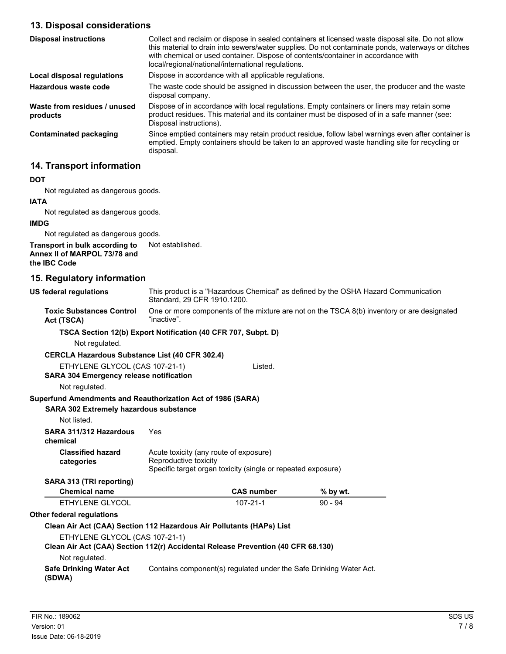# **13. Disposal considerations**

| <b>Disposal instructions</b>             | Collect and reclaim or dispose in sealed containers at licensed waste disposal site. Do not allow<br>this material to drain into sewers/water supplies. Do not contaminate ponds, waterways or ditches<br>with chemical or used container. Dispose of contents/container in accordance with<br>local/regional/national/international regulations. |
|------------------------------------------|---------------------------------------------------------------------------------------------------------------------------------------------------------------------------------------------------------------------------------------------------------------------------------------------------------------------------------------------------|
| Local disposal regulations               | Dispose in accordance with all applicable regulations.                                                                                                                                                                                                                                                                                            |
| Hazardous waste code                     | The waste code should be assigned in discussion between the user, the producer and the waste<br>disposal company.                                                                                                                                                                                                                                 |
| Waste from residues / unused<br>products | Dispose of in accordance with local regulations. Empty containers or liners may retain some<br>product residues. This material and its container must be disposed of in a safe manner (see:<br>Disposal instructions).                                                                                                                            |
| <b>Contaminated packaging</b>            | Since emptied containers may retain product residue, follow label warnings even after container is<br>emptied. Empty containers should be taken to an approved waste handling site for recycling or<br>disposal.                                                                                                                                  |

# **14. Transport information**

### **DOT**

Not regulated as dangerous goods.

### **IATA**

Not regulated as dangerous goods.

#### **IMDG**

Not regulated as dangerous goods.

#### **Transport in bulk according to** Not established. **Annex II of MARPOL 73/78 and the IBC Code**

# **15. Regulatory information**

| <b>US federal regulations</b>                                                    | This product is a "Hazardous Chemical" as defined by the OSHA Hazard Communication<br>Standard, 29 CFR 1910.1200.               |                                                                    |            |  |
|----------------------------------------------------------------------------------|---------------------------------------------------------------------------------------------------------------------------------|--------------------------------------------------------------------|------------|--|
| <b>Toxic Substances Control</b><br>Act (TSCA)                                    | One or more components of the mixture are not on the TSCA 8(b) inventory or are designated<br>"inactive".                       |                                                                    |            |  |
| TSCA Section 12(b) Export Notification (40 CFR 707, Subpt. D)                    |                                                                                                                                 |                                                                    |            |  |
| Not regulated.                                                                   |                                                                                                                                 |                                                                    |            |  |
| <b>CERCLA Hazardous Substance List (40 CFR 302.4)</b>                            |                                                                                                                                 |                                                                    |            |  |
| ETHYLENE GLYCOL (CAS 107-21-1)                                                   |                                                                                                                                 | Listed.                                                            |            |  |
| <b>SARA 304 Emergency release notification</b>                                   |                                                                                                                                 |                                                                    |            |  |
| Not regulated.                                                                   |                                                                                                                                 |                                                                    |            |  |
| Superfund Amendments and Reauthorization Act of 1986 (SARA)                      |                                                                                                                                 |                                                                    |            |  |
| <b>SARA 302 Extremely hazardous substance</b>                                    |                                                                                                                                 |                                                                    |            |  |
| Not listed.                                                                      |                                                                                                                                 |                                                                    |            |  |
| SARA 311/312 Hazardous<br>chemical                                               | Yes                                                                                                                             |                                                                    |            |  |
| <b>Classified hazard</b><br>categories                                           | Acute toxicity (any route of exposure)<br>Reproductive toxicity<br>Specific target organ toxicity (single or repeated exposure) |                                                                    |            |  |
| SARA 313 (TRI reporting)                                                         |                                                                                                                                 |                                                                    |            |  |
| <b>Chemical name</b>                                                             |                                                                                                                                 | <b>CAS number</b>                                                  | $%$ by wt. |  |
| ETHYLENE GLYCOL                                                                  |                                                                                                                                 | $107 - 21 - 1$                                                     | $90 - 94$  |  |
| <b>Other federal regulations</b>                                                 |                                                                                                                                 |                                                                    |            |  |
| Clean Air Act (CAA) Section 112 Hazardous Air Pollutants (HAPs) List             |                                                                                                                                 |                                                                    |            |  |
| ETHYLENE GLYCOL (CAS 107-21-1)                                                   |                                                                                                                                 |                                                                    |            |  |
| Clean Air Act (CAA) Section 112(r) Accidental Release Prevention (40 CFR 68.130) |                                                                                                                                 |                                                                    |            |  |
| Not regulated.                                                                   |                                                                                                                                 |                                                                    |            |  |
| <b>Safe Drinking Water Act</b><br>(SDWA)                                         |                                                                                                                                 | Contains component(s) regulated under the Safe Drinking Water Act. |            |  |